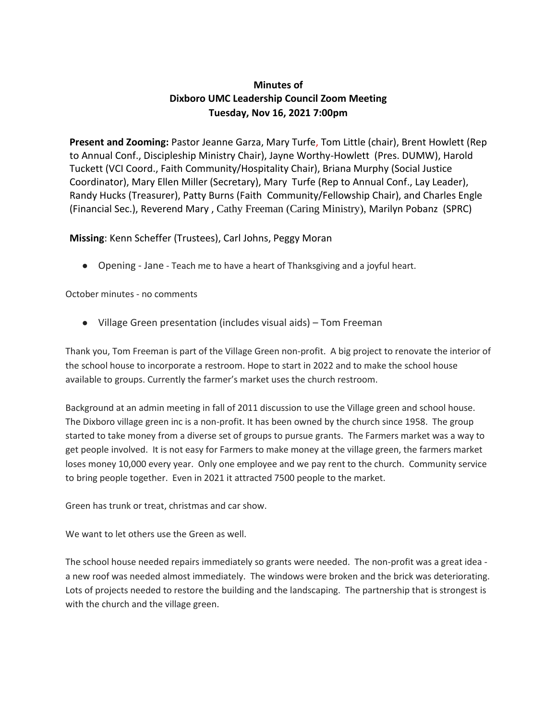## **Minutes of Dixboro UMC Leadership Council Zoom Meeting Tuesday, Nov 16, 2021 7:00pm**

**Present and Zooming:** Pastor Jeanne Garza, Mary Turfe, Tom Little (chair), Brent Howlett (Rep to Annual Conf., Discipleship Ministry Chair), Jayne Worthy-Howlett (Pres. DUMW), Harold Tuckett (VCI Coord., Faith Community/Hospitality Chair), Briana Murphy (Social Justice Coordinator), Mary Ellen Miller (Secretary), Mary Turfe (Rep to Annual Conf., Lay Leader), Randy Hucks (Treasurer), Patty Burns (Faith Community/Fellowship Chair), and Charles Engle (Financial Sec.), Reverend Mary , Cathy Freeman (Caring Ministry), Marilyn Pobanz (SPRC)

## **Missing**: Kenn Scheffer (Trustees), Carl Johns, Peggy Moran

● Opening - Jane - Teach me to have a heart of Thanksgiving and a joyful heart.

October minutes - no comments

● Village Green presentation (includes visual aids) – Tom Freeman

Thank you, Tom Freeman is part of the Village Green non-profit. A big project to renovate the interior of the school house to incorporate a restroom. Hope to start in 2022 and to make the school house available to groups. Currently the farmer's market uses the church restroom.

Background at an admin meeting in fall of 2011 discussion to use the Village green and school house. The Dixboro village green inc is a non-profit. It has been owned by the church since 1958. The group started to take money from a diverse set of groups to pursue grants. The Farmers market was a way to get people involved. It is not easy for Farmers to make money at the village green, the farmers market loses money 10,000 every year. Only one employee and we pay rent to the church. Community service to bring people together. Even in 2021 it attracted 7500 people to the market.

Green has trunk or treat, christmas and car show.

We want to let others use the Green as well.

The school house needed repairs immediately so grants were needed. The non-profit was a great idea a new roof was needed almost immediately. The windows were broken and the brick was deteriorating. Lots of projects needed to restore the building and the landscaping. The partnership that is strongest is with the church and the village green.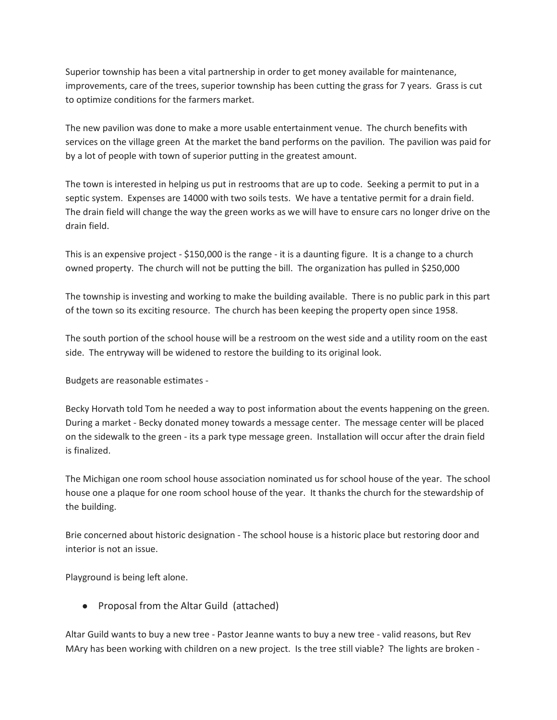Superior township has been a vital partnership in order to get money available for maintenance, improvements, care of the trees, superior township has been cutting the grass for 7 years. Grass is cut to optimize conditions for the farmers market.

The new pavilion was done to make a more usable entertainment venue. The church benefits with services on the village green At the market the band performs on the pavilion. The pavilion was paid for by a lot of people with town of superior putting in the greatest amount.

The town is interested in helping us put in restrooms that are up to code. Seeking a permit to put in a septic system. Expenses are 14000 with two soils tests. We have a tentative permit for a drain field. The drain field will change the way the green works as we will have to ensure cars no longer drive on the drain field.

This is an expensive project - \$150,000 is the range - it is a daunting figure. It is a change to a church owned property. The church will not be putting the bill. The organization has pulled in \$250,000

The township is investing and working to make the building available. There is no public park in this part of the town so its exciting resource. The church has been keeping the property open since 1958.

The south portion of the school house will be a restroom on the west side and a utility room on the east side. The entryway will be widened to restore the building to its original look.

Budgets are reasonable estimates -

Becky Horvath told Tom he needed a way to post information about the events happening on the green. During a market - Becky donated money towards a message center. The message center will be placed on the sidewalk to the green - its a park type message green. Installation will occur after the drain field is finalized.

The Michigan one room school house association nominated us for school house of the year. The school house one a plaque for one room school house of the year. It thanks the church for the stewardship of the building.

Brie concerned about historic designation - The school house is a historic place but restoring door and interior is not an issue.

Playground is being left alone.

● Proposal from the Altar Guild (attached)

Altar Guild wants to buy a new tree - Pastor Jeanne wants to buy a new tree - valid reasons, but Rev MAry has been working with children on a new project. Is the tree still viable? The lights are broken -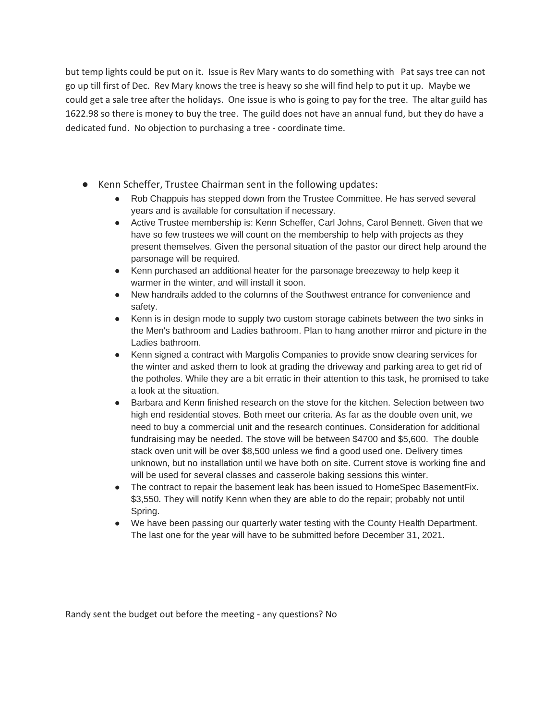but temp lights could be put on it. Issue is Rev Mary wants to do something with Pat says tree can not go up till first of Dec. Rev Mary knows the tree is heavy so she will find help to put it up. Maybe we could get a sale tree after the holidays. One issue is who is going to pay for the tree. The altar guild has 1622.98 so there is money to buy the tree. The guild does not have an annual fund, but they do have a dedicated fund. No objection to purchasing a tree - coordinate time.

- Kenn Scheffer, Trustee Chairman sent in the following updates:
	- Rob Chappuis has stepped down from the Trustee Committee. He has served several years and is available for consultation if necessary.
	- Active Trustee membership is: Kenn Scheffer, Carl Johns, Carol Bennett. Given that we have so few trustees we will count on the membership to help with projects as they present themselves. Given the personal situation of the pastor our direct help around the parsonage will be required.
	- Kenn purchased an additional heater for the parsonage breezeway to help keep it warmer in the winter, and will install it soon.
	- New handrails added to the columns of the Southwest entrance for convenience and safety.
	- Kenn is in design mode to supply two custom storage cabinets between the two sinks in the Men's bathroom and Ladies bathroom. Plan to hang another mirror and picture in the Ladies bathroom.
	- Kenn signed a contract with Margolis Companies to provide snow clearing services for the winter and asked them to look at grading the driveway and parking area to get rid of the potholes. While they are a bit erratic in their attention to this task, he promised to take a look at the situation.
	- Barbara and Kenn finished research on the stove for the kitchen. Selection between two high end residential stoves. Both meet our criteria. As far as the double oven unit, we need to buy a commercial unit and the research continues. Consideration for additional fundraising may be needed. The stove will be between \$4700 and \$5,600. The double stack oven unit will be over \$8,500 unless we find a good used one. Delivery times unknown, but no installation until we have both on site. Current stove is working fine and will be used for several classes and casserole baking sessions this winter.
	- The contract to repair the basement leak has been issued to HomeSpec BasementFix. \$3,550. They will notify Kenn when they are able to do the repair; probably not until Spring.
	- We have been passing our quarterly water testing with the County Health Department. The last one for the year will have to be submitted before December 31, 2021.

Randy sent the budget out before the meeting - any questions? No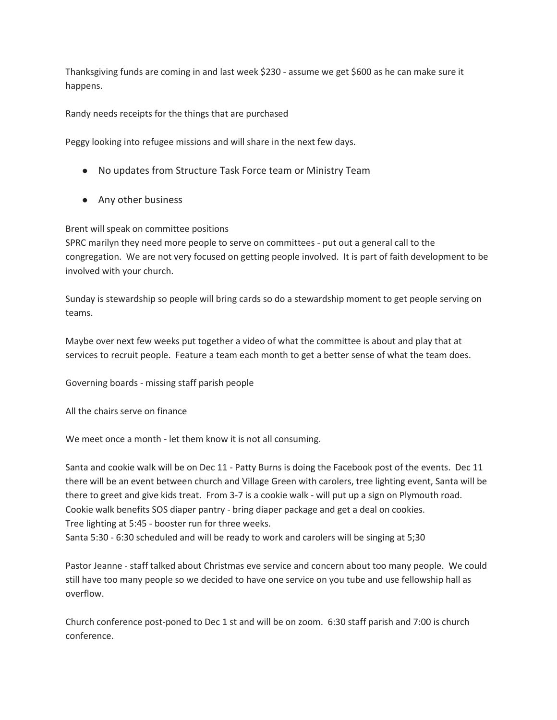Thanksgiving funds are coming in and last week \$230 - assume we get \$600 as he can make sure it happens.

Randy needs receipts for the things that are purchased

Peggy looking into refugee missions and will share in the next few days.

- No updates from Structure Task Force team or Ministry Team
- Any other business

Brent will speak on committee positions

SPRC marilyn they need more people to serve on committees - put out a general call to the congregation. We are not very focused on getting people involved. It is part of faith development to be involved with your church.

Sunday is stewardship so people will bring cards so do a stewardship moment to get people serving on teams.

Maybe over next few weeks put together a video of what the committee is about and play that at services to recruit people. Feature a team each month to get a better sense of what the team does.

Governing boards - missing staff parish people

All the chairs serve on finance

We meet once a month - let them know it is not all consuming.

Santa and cookie walk will be on Dec 11 - Patty Burns is doing the Facebook post of the events. Dec 11 there will be an event between church and Village Green with carolers, tree lighting event, Santa will be there to greet and give kids treat. From 3-7 is a cookie walk - will put up a sign on Plymouth road. Cookie walk benefits SOS diaper pantry - bring diaper package and get a deal on cookies. Tree lighting at 5:45 - booster run for three weeks. Santa 5:30 - 6:30 scheduled and will be ready to work and carolers will be singing at 5;30

Pastor Jeanne - staff talked about Christmas eve service and concern about too many people. We could still have too many people so we decided to have one service on you tube and use fellowship hall as overflow.

Church conference post-poned to Dec 1 st and will be on zoom. 6:30 staff parish and 7:00 is church conference.